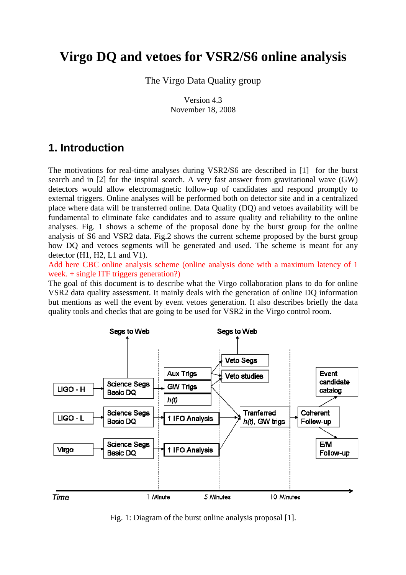# **Virgo DQ and vetoes for VSR2/S6 online analysis**

The Virgo Data Quality group

 Version 4.3 November 18, 2008

## **1. Introduction**

The motivations for real-time analyses during VSR2/S6 are described in [1] for the burst search and in [2] for the inspiral search. A very fast answer from gravitational wave (GW) detectors would allow electromagnetic follow-up of candidates and respond promptly to external triggers. Online analyses will be performed both on detector site and in a centralized place where data will be transferred online. Data Quality (DQ) and vetoes availability will be fundamental to eliminate fake candidates and to assure quality and reliability to the online analyses. Fig. 1 shows a scheme of the proposal done by the burst group for the online analysis of S6 and VSR2 data. Fig.2 shows the current scheme proposed by the burst group how DQ and vetoes segments will be generated and used. The scheme is meant for any detector (H1, H2, L1 and V1).

Add here CBC online analysis scheme (online analysis done with a maximum latency of 1 week. + single ITF triggers generation?)

The goal of this document is to describe what the Virgo collaboration plans to do for online VSR2 data quality assessment. It mainly deals with the generation of online DQ information but mentions as well the event by event vetoes generation. It also describes briefly the data quality tools and checks that are going to be used for VSR2 in the Virgo control room.



Fig. 1: Diagram of the burst online analysis proposal [1].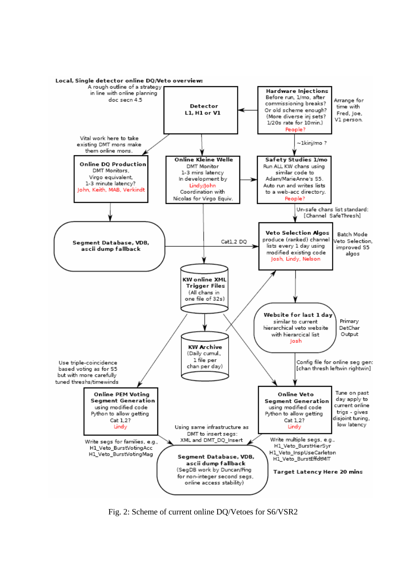

Fig. 2: Scheme of current online DQ/Vetoes for S6/VSR2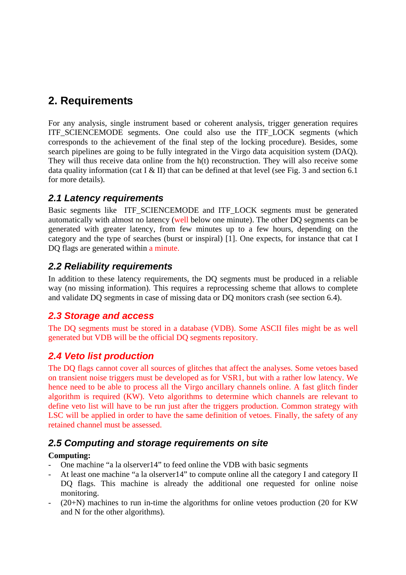## **2. Requirements**

For any analysis, single instrument based or coherent analysis, trigger generation requires ITF\_SCIENCEMODE segments. One could also use the ITF\_LOCK segments (which corresponds to the achievement of the final step of the locking procedure). Besides, some search pipelines are going to be fully integrated in the Virgo data acquisition system (DAQ). They will thus receive data online from the h(t) reconstruction. They will also receive some data quality information (cat I & II) that can be defined at that level (see Fig. 3 and section 6.1) for more details).

### *2.1 Latency requirements*

Basic segments like ITF\_SCIENCEMODE and ITF\_LOCK segments must be generated automatically with almost no latency (well below one minute). The other DQ segments can be generated with greater latency, from few minutes up to a few hours, depending on the category and the type of searches (burst or inspiral) [1]. One expects, for instance that cat I DQ flags are generated within a minute.

## *2.2 Reliability requirements*

In addition to these latency requirements, the DQ segments must be produced in a reliable way (no missing information). This requires a reprocessing scheme that allows to complete and validate DQ segments in case of missing data or DQ monitors crash (see section 6.4).

#### *2.3 Storage and access*

The DQ segments must be stored in a database (VDB). Some ASCII files might be as well generated but VDB will be the official DQ segments repository.

## *2.4 Veto list production*

The DQ flags cannot cover all sources of glitches that affect the analyses. Some vetoes based on transient noise triggers must be developed as for VSR1, but with a rather low latency. We hence need to be able to process all the Virgo ancillary channels online. A fast glitch finder algorithm is required (KW). Veto algorithms to determine which channels are relevant to define veto list will have to be run just after the triggers production. Common strategy with LSC will be applied in order to have the same definition of vetoes. Finally, the safety of any retained channel must be assessed.

## *2.5 Computing and storage requirements on site*

#### **Computing:**

- One machine "a la olserver14" to feed online the VDB with basic segments
- At least one machine "a la olserver14" to compute online all the category I and category II DQ flags. This machine is already the additional one requested for online noise monitoring.
- $(20+N)$  machines to run in-time the algorithms for online vetoes production (20 for KW) and N for the other algorithms).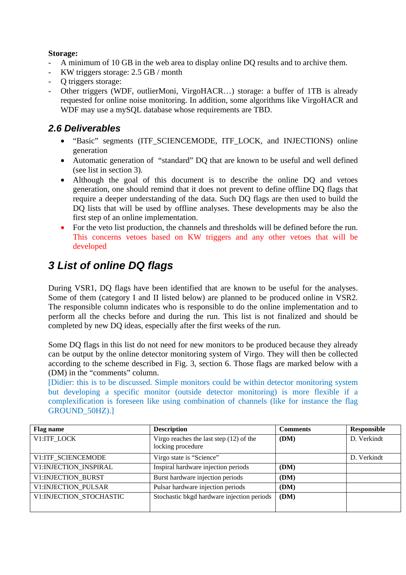#### **Storage:**

- A minimum of 10 GB in the web area to display online DQ results and to archive them.
- KW triggers storage: 2.5 GB / month
- Q triggers storage:
- Other triggers (WDF, outlierMoni, VirgoHACR…) storage: a buffer of 1TB is already requested for online noise monitoring. In addition, some algorithms like VirgoHACR and WDF may use a mySQL database whose requirements are TBD.

## *2.6 Deliverables*

- "Basic" segments (ITF SCIENCEMODE, ITF LOCK, and INJECTIONS) online generation
- Automatic generation of "standard" DQ that are known to be useful and well defined (see list in section 3).
- Although the goal of this document is to describe the online DQ and vetoes generation, one should remind that it does not prevent to define offline DQ flags that require a deeper understanding of the data. Such DQ flags are then used to build the DQ lists that will be used by offline analyses. These developments may be also the first step of an online implementation.
- For the veto list production, the channels and thresholds will be defined before the run. This concerns vetoes based on KW triggers and any other vetoes that will be developed

# *3 List of online DQ flags*

During VSR1, DQ flags have been identified that are known to be useful for the analyses. Some of them (category I and II listed below) are planned to be produced online in VSR2. The responsible column indicates who is responsible to do the online implementation and to perform all the checks before and during the run. This list is not finalized and should be completed by new DQ ideas, especially after the first weeks of the run.

Some DQ flags in this list do not need for new monitors to be produced because they already can be output by the online detector monitoring system of Virgo. They will then be collected according to the scheme described in Fig. 3, section 6. Those flags are marked below with a (DM) in the "comments" column.

[Didier: this is to be discussed. Simple monitors could be within detector monitoring system but developing a specific monitor (outside detector monitoring) is more flexible if a complexification is foreseen like using combination of channels (like for instance the flag GROUND\_50HZ).]

| <b>Flag name</b>           | <b>Description</b>                                             | <b>Comments</b> | Responsible |
|----------------------------|----------------------------------------------------------------|-----------------|-------------|
| V1:ITF LOCK                | Virgo reaches the last step $(12)$ of the<br>locking procedure | (DM)            | D. Verkindt |
| V1:ITF_SCIENCEMODE         | Virgo state is "Science"                                       |                 | D. Verkindt |
| V1:INJECTION INSPIRAL      | Inspiral hardware injection periods                            | (DM)            |             |
| V1:INJECTION_BURST         | Burst hardware injection periods                               | (DM)            |             |
| <b>V1:INJECTION PULSAR</b> | Pulsar hardware injection periods                              | (DM)            |             |
| V1: INJECTION STOCHASTIC   | Stochastic bkgd hardware injection periods                     | (DM)            |             |
|                            |                                                                |                 |             |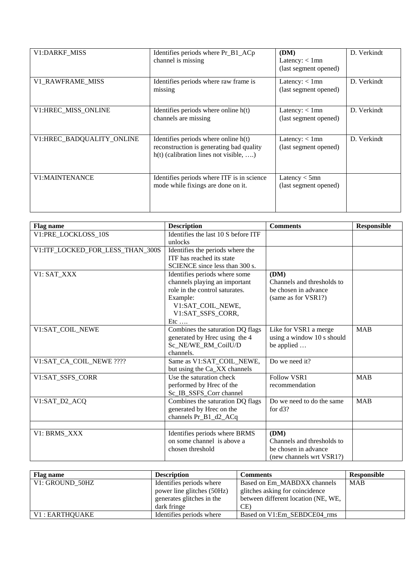| V1:DARKF_MISS             | Identifies periods where Pr_B1_ACp<br>channel is missing                                                                     | (DM)<br>Latency: $< 1$ mn<br>(last segment opened) | D. Verkindt |
|---------------------------|------------------------------------------------------------------------------------------------------------------------------|----------------------------------------------------|-------------|
| V1_RAWFRAME_MISS          | Identifies periods where raw frame is<br>missing                                                                             | Latency: $< 1$ mn<br>(last segment opened)         | D. Verkindt |
| V1:HREC_MISS_ONLINE       | Identifies periods where online $h(t)$<br>channels are missing                                                               | Latency: $< 1$ mn<br>(last segment opened)         | D. Verkindt |
| V1:HREC BADQUALITY ONLINE | Identifies periods where online h(t)<br>reconstruction is generating bad quality<br>$h(t)$ (calibration lines not visible, ) | Latency: $< 1$ mn<br>(last segment opened)         | D. Verkindt |
| <b>V1:MAINTENANCE</b>     | Identifies periods where ITF is in science<br>mode while fixings are done on it.                                             | Latency $<$ 5mn<br>(last segment opened)           |             |

| <b>Flag name</b>                 | <b>Description</b>                  | <b>Comments</b>            | <b>Responsible</b> |
|----------------------------------|-------------------------------------|----------------------------|--------------------|
| V1:PRE_LOCKLOSS_10S              | Identifies the last 10 S before ITF |                            |                    |
|                                  | unlocks                             |                            |                    |
| V1:ITF_LOCKED_FOR_LESS_THAN_300S | Identifies the periods where the    |                            |                    |
|                                  | ITF has reached its state           |                            |                    |
|                                  | SCIENCE since less than 300 s.      |                            |                    |
| V1: SAT_XXX                      | Identifies periods where some       | (DM)                       |                    |
|                                  | channels playing an important       | Channels and thresholds to |                    |
|                                  | role in the control saturates.      | be chosen in advance       |                    |
|                                  | Example:                            | (same as for VSR1?)        |                    |
|                                  | V1:SAT_COIL_NEWE,                   |                            |                    |
|                                  | V1:SAT_SSFS_CORR,                   |                            |                    |
|                                  | $Etc$                               |                            |                    |
| V1:SAT_COIL_NEWE                 | Combines the saturation DQ flags    | Like for VSR1 a merge      | <b>MAB</b>         |
|                                  | generated by Hrec using the 4       | using a window 10 s should |                    |
|                                  | Sc NE/WE RM CoilU/D                 | be applied                 |                    |
|                                  | channels.                           |                            |                    |
| V1:SAT_CA_COIL_NEWE ????         | Same as V1:SAT_COIL_NEWE,           | Do we need it?             |                    |
|                                  | but using the Ca_XX channels        |                            |                    |
| V1:SAT_SSFS_CORR                 | Use the saturation check            | <b>Follow VSR1</b>         | <b>MAB</b>         |
|                                  | performed by Hrec of the            | recommendation             |                    |
|                                  | Sc_IB_SSFS_Corr channel             |                            |                    |
| V1:SAT_D2_ACQ                    | Combines the saturation DQ flags    | Do we need to do the same  | <b>MAB</b>         |
|                                  | generated by Hrec on the            | for $d3$ ?                 |                    |
|                                  | channels Pr_B1_d2_ACq               |                            |                    |
|                                  |                                     |                            |                    |
| V1: BRMS XXX                     | Identifies periods where BRMS       | (DM)                       |                    |
|                                  | on some channel is above a          | Channels and thresholds to |                    |
|                                  | chosen threshold                    | be chosen in advance       |                    |
|                                  |                                     | (new channels wrt VSR1?)   |                    |

| Flag name       | <b>Description</b>         | Comments                            | Responsible |
|-----------------|----------------------------|-------------------------------------|-------------|
| V1: GROUND 50HZ | Identifies periods where   | Based on Em MABDXX channels         | <b>MAB</b>  |
|                 | power line glitches (50Hz) | glitches asking for coincidence     |             |
|                 | generates glitches in the  | between different location (NE, WE, |             |
|                 | dark fringe                | CE)                                 |             |
| V1 : EARTHOUAKE | Identifies periods where   | Based on V1:Em SEBDCE04 rms         |             |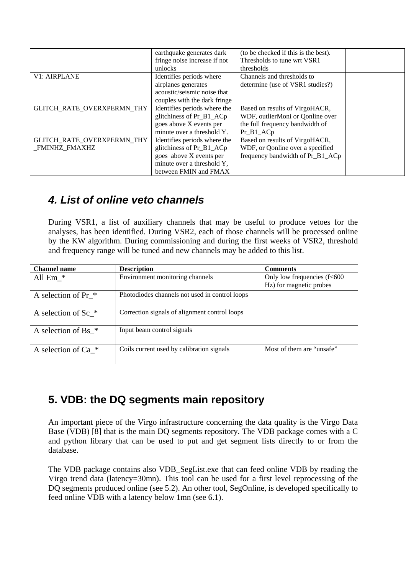|                                   | earthquake generates dark    | (to be checked if this is the best). |  |
|-----------------------------------|------------------------------|--------------------------------------|--|
|                                   | fringe noise increase if not | Thresholds to tune wrt VSR1          |  |
|                                   | unlocks                      | thresholds                           |  |
| <b>V1: AIRPLANE</b>               | Identifies periods where     | Channels and thresholds to           |  |
|                                   | airplanes generates          | determine (use of VSR1 studies?)     |  |
|                                   | acoustic/seismic noise that  |                                      |  |
|                                   | couples with the dark fringe |                                      |  |
| GLITCH_RATE_OVERXPERMN_THY        | Identifies periods where the | Based on results of VirgoHACR,       |  |
|                                   | glitchiness of Pr_B1_ACp     | WDF, outlierMoni or Qonline over     |  |
|                                   | goes above X events per      | the full frequency bandwidth of      |  |
|                                   | minute over a threshold Y.   | Pr B1 AC <sub>p</sub>                |  |
| <b>GLITCH RATE OVERXPERMN THY</b> | Identifies periods where the | Based on results of VirgoHACR,       |  |
| FMINHZ_FMAXHZ                     | glitchiness of Pr_B1_ACp     | WDF, or Qonline over a specified     |  |
|                                   | goes above X events per      | frequency bandwidth of Pr_B1 ACp     |  |
|                                   | minute over a threshold Y,   |                                      |  |
|                                   | between FMIN and FMAX        |                                      |  |

## *4. List of online veto channels*

During VSR1, a list of auxiliary channels that may be useful to produce vetoes for the analyses, has been identified. During VSR2, each of those channels will be processed online by the KW algorithm. During commissioning and during the first weeks of VSR2, threshold and frequency range will be tuned and new channels may be added to this list.

| <b>Channel name</b>              | <b>Description</b>                             | <b>Comments</b>             |
|----------------------------------|------------------------------------------------|-----------------------------|
| All $Em$ $*$                     | Environment monitoring channels                | Only low frequencies (f<600 |
|                                  |                                                | Hz) for magnetic probes     |
| A selection of Pr $*$            | Photodiodes channels not used in control loops |                             |
| A selection of $Sc$ *            | Correction signals of alignment control loops  |                             |
| A selection of $Bs$ <sup>*</sup> | Input beam control signals                     |                             |
| A selection of Ca *              | Coils current used by calibration signals      | Most of them are "unsafe"   |

## **5. VDB: the DQ segments main repository**

An important piece of the Virgo infrastructure concerning the data quality is the Virgo Data Base (VDB) [8] that is the main DQ segments repository. The VDB package comes with a C and python library that can be used to put and get segment lists directly to or from the database.

The VDB package contains also VDB\_SegList.exe that can feed online VDB by reading the Virgo trend data (latency=30mn). This tool can be used for a first level reprocessing of the DQ segments produced online (see 5.2). An other tool, SegOnline, is developed specifically to feed online VDB with a latency below 1mn (see 6.1).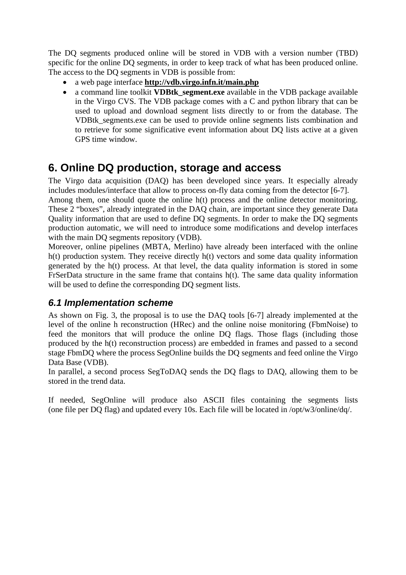The DQ segments produced online will be stored in VDB with a version number (TBD) specific for the online DQ segments, in order to keep track of what has been produced online. The access to the DQ segments in VDB is possible from:

- a web page interface **<http://vdb.virgo.infn.it/main.php>**
- a command line toolkit **VDBtk\_segment.exe** available in the VDB package available in the Virgo CVS. The VDB package comes with a C and python library that can be used to upload and download segment lists directly to or from the database. The VDBtk\_segments.exe can be used to provide online segments lists combination and to retrieve for some significative event information about DQ lists active at a given GPS time window.

## **6. Online DQ production, storage and access**

The Virgo data acquisition (DAQ) has been developed since years. It especially already includes modules/interface that allow to process on-fly data coming from the detector [6-7].

Among them, one should quote the online h(t) process and the online detector monitoring. These 2 "boxes", already integrated in the DAQ chain, are important since they generate Data Quality information that are used to define DQ segments. In order to make the DQ segments production automatic, we will need to introduce some modifications and develop interfaces with the main DO segments repository (VDB).

Moreover, online pipelines (MBTA, Merlino) have already been interfaced with the online h(t) production system. They receive directly h(t) vectors and some data quality information generated by the h(t) process. At that level, the data quality information is stored in some FrSerData structure in the same frame that contains h(t). The same data quality information will be used to define the corresponding DQ segment lists.

## *6.1 Implementation scheme*

As shown on Fig. 3, the proposal is to use the DAQ tools [6-7] already implemented at the level of the online h reconstruction (HRec) and the online noise monitoring (FbmNoise) to feed the monitors that will produce the online DQ flags. Those flags (including those produced by the h(t) reconstruction process) are embedded in frames and passed to a second stage FbmDQ where the process SegOnline builds the DQ segments and feed online the Virgo Data Base (VDB).

In parallel, a second process SegToDAQ sends the DQ flags to DAQ, allowing them to be stored in the trend data.

If needed, SegOnline will produce also ASCII files containing the segments lists (one file per DQ flag) and updated every 10s. Each file will be located in /opt/w3/online/dq/.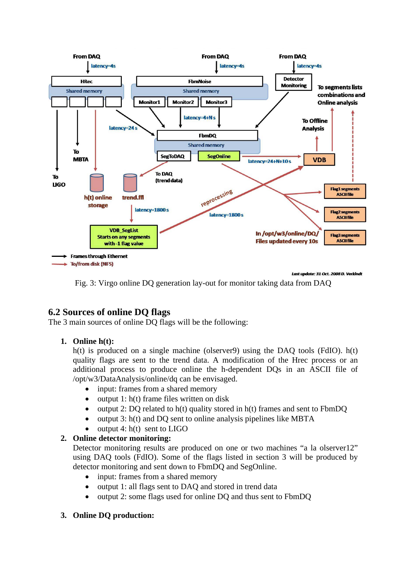

Fig. 3: Virgo online DQ generation lay-out for monitor taking data from DAQ

#### **6.2 Sources of online DQ flags**

The 3 main sources of online DQ flags will be the following:

#### **1. Online h(t):**

h(t) is produced on a single machine (olserver9) using the DAO tools (FdIO).  $h(t)$ quality flags are sent to the trend data. A modification of the Hrec process or an additional process to produce online the h-dependent DQs in an ASCII file of /opt/w3/DataAnalysis/online/dq can be envisaged.

- input: frames from a shared memory
- output 1:  $h(t)$  frame files written on disk
- output 2: DQ related to  $h(t)$  quality stored in  $h(t)$  frames and sent to FbmDQ
- output 3: h(t) and DQ sent to online analysis pipelines like MBTA
- output  $4: h(t)$  sent to LIGO

#### **2. Online detector monitoring:**

Detector monitoring results are produced on one or two machines "a la olserver12" using DAQ tools (FdIO). Some of the flags listed in section 3 will be produced by detector monitoring and sent down to FbmDQ and SegOnline.

- input: frames from a shared memory
- output 1: all flags sent to DAQ and stored in trend data
- output 2: some flags used for online DQ and thus sent to FbmDQ

#### **3. Online DQ production:**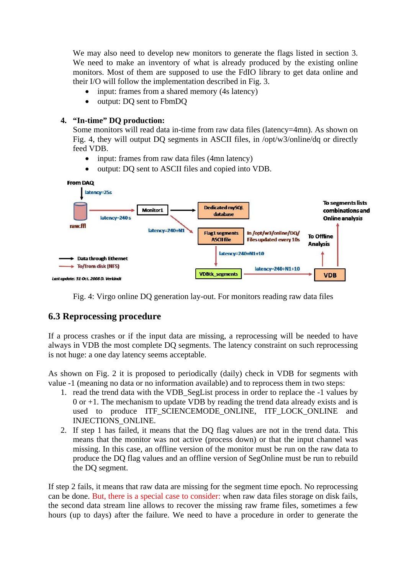We may also need to develop new monitors to generate the flags listed in section 3. We need to make an inventory of what is already produced by the existing online monitors. Most of them are supposed to use the FdIO library to get data online and their I/O will follow the implementation described in Fig. 3.

- input: frames from a shared memory (4s latency)
- output: DQ sent to FbmDQ

#### **4. "In-time" DQ production:**

Some monitors will read data in-time from raw data files (latency=4mn). As shown on Fig. 4, they will output DQ segments in ASCII files, in /opt/w3/online/dq or directly feed VDB.

- input: frames from raw data files (4mn latency)
- output: DQ sent to ASCII files and copied into VDB.



Fig. 4: Virgo online DQ generation lay-out. For monitors reading raw data files

#### **6.3 Reprocessing procedure**

If a process crashes or if the input data are missing, a reprocessing will be needed to have always in VDB the most complete DQ segments. The latency constraint on such reprocessing is not huge: a one day latency seems acceptable.

As shown on Fig. 2 it is proposed to periodically (daily) check in VDB for segments with value -1 (meaning no data or no information available) and to reprocess them in two steps:

- 1. read the trend data with the VDB\_SegList process in order to replace the -1 values by  $0$  or  $+1$ . The mechanism to update VDB by reading the trend data already exists and is used to produce ITF\_SCIENCEMODE\_ONLINE, ITF\_LOCK\_ONLINE and INJECTIONS\_ONLINE.
- 2. If step 1 has failed, it means that the DQ flag values are not in the trend data. This means that the monitor was not active (process down) or that the input channel was missing. In this case, an offline version of the monitor must be run on the raw data to produce the DQ flag values and an offline version of SegOnline must be run to rebuild the DQ segment.

If step 2 fails, it means that raw data are missing for the segment time epoch. No reprocessing can be done. But, there is a special case to consider: when raw data files storage on disk fails, the second data stream line allows to recover the missing raw frame files, sometimes a few hours (up to days) after the failure. We need to have a procedure in order to generate the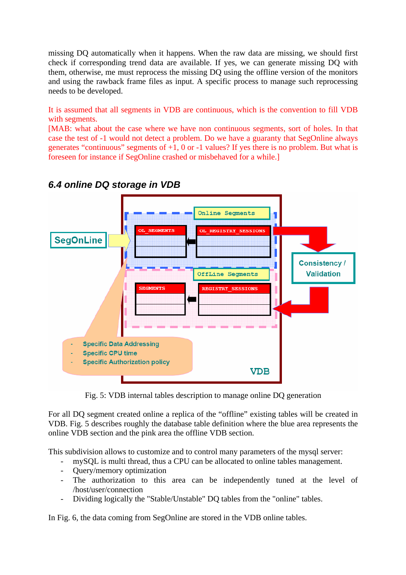missing DQ automatically when it happens. When the raw data are missing, we should first check if corresponding trend data are available. If yes, we can generate missing DQ with them, otherwise, me must reprocess the missing DQ using the offline version of the monitors and using the rawback frame files as input. A specific process to manage such reprocessing needs to be developed.

It is assumed that all segments in VDB are continuous, which is the convention to fill VDB with segments.

[MAB: what about the case where we have non continuous segments, sort of holes. In that case the test of -1 would not detect a problem. Do we have a guaranty that SegOnline always generates "continuous" segments of  $+1$ , 0 or  $-1$  values? If yes there is no problem. But what is foreseen for instance if SegOnline crashed or misbehaved for a while.]



## *6.4 online DQ storage in VDB*

Fig. 5: VDB internal tables description to manage online DQ generation

For all DQ segment created online a replica of the "offline" existing tables will be created in VDB. Fig. 5 describes roughly the database table definition where the blue area represents the online VDB section and the pink area the offline VDB section.

This subdivision allows to customize and to control many parameters of the mysql server:

- mySQL is multi thread, thus a CPU can be allocated to online tables management.
- Query/memory optimization
- The authorization to this area can be independently tuned at the level of /host/user/connection
- Dividing logically the "Stable/Unstable" DQ tables from the "online" tables.

In Fig. 6, the data coming from SegOnline are stored in the VDB online tables.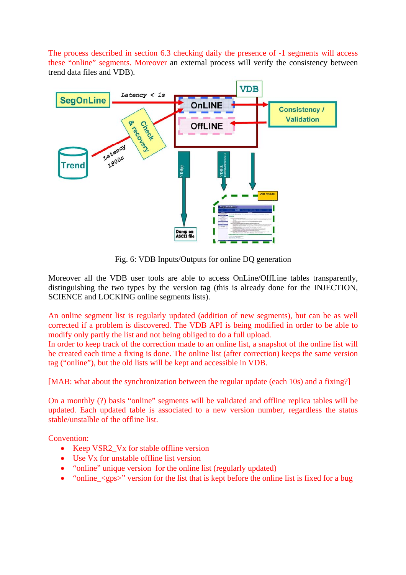The process described in section 6.3 checking daily the presence of -1 segments will access these "online" segments. Moreover an external process will verify the consistency between trend data files and VDB).



Fig. 6: VDB Inputs/Outputs for online DQ generation

Moreover all the VDB user tools are able to access OnLine/OffLine tables transparently, distinguishing the two types by the version tag (this is already done for the INJECTION, SCIENCE and LOCKING online segments lists).

An online segment list is regularly updated (addition of new segments), but can be as well corrected if a problem is discovered. The VDB API is being modified in order to be able to modify only partly the list and not being obliged to do a full upload.

In order to keep track of the correction made to an online list, a snapshot of the online list will be created each time a fixing is done. The online list (after correction) keeps the same version tag ("online"), but the old lists will be kept and accessible in VDB.

[MAB: what about the synchronization between the regular update (each 10s) and a fixing?]

On a monthly (?) basis "online" segments will be validated and offline replica tables will be updated. Each updated table is associated to a new version number, regardless the status stable/unstalble of the offline list.

Convention:

- Keep VSR2\_Vx for stable offline version
- Use Vx for unstable offline list version
- "online" unique version for the online list (regularly updated)
- "online  $\langle \text{qps} \rangle$ " version for the list that is kept before the online list is fixed for a bug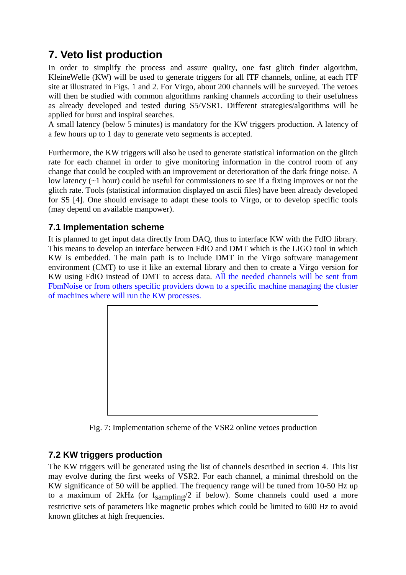# **7. Veto list production**

In order to simplify the process and assure quality, one fast glitch finder algorithm, KleineWelle (KW) will be used to generate triggers for all ITF channels, online, at each ITF site at illustrated in Figs. 1 and 2. For Virgo, about 200 channels will be surveyed. The vetoes will then be studied with common algorithms ranking channels according to their usefulness as already developed and tested during S5/VSR1. Different strategies/algorithms will be applied for burst and inspiral searches.

A small latency (below 5 minutes) is mandatory for the KW triggers production. A latency of a few hours up to 1 day to generate veto segments is accepted.

Furthermore, the KW triggers will also be used to generate statistical information on the glitch rate for each channel in order to give monitoring information in the control room of any change that could be coupled with an improvement or deterioration of the dark fringe noise. A low latency (~1 hour) could be useful for commissioners to see if a fixing improves or not the glitch rate. Tools (statistical information displayed on ascii files) have been already developed for S5 [4]. One should envisage to adapt these tools to Virgo, or to develop specific tools (may depend on available manpower).

### **7.1 Implementation scheme**

It is planned to get input data directly from DAQ, thus to interface KW with the FdIO library. This means to develop an interface between FdIO and DMT which is the LIGO tool in which KW is embedded. The main path is to include DMT in the Virgo software management environment (CMT) to use it like an external library and then to create a Virgo version for KW using FdIO instead of DMT to access data. All the needed channels will be sent from FbmNoise or from others specific providers down to a specific machine managing the cluster of machines where will run the KW processes.



Fig. 7: Implementation scheme of the VSR2 online vetoes production

## **7.2 KW triggers production**

The KW triggers will be generated using the list of channels described in section 4. This list may evolve during the first weeks of VSR2. For each channel, a minimal threshold on the KW significance of 50 will be applied. The frequency range will be tuned from 10-50 Hz up to a maximum of 2kHz (or  $f_{sampling}/2$  if below). Some channels could used a more restrictive sets of parameters like magnetic probes which could be limited to 600 Hz to avoid known glitches at high frequencies.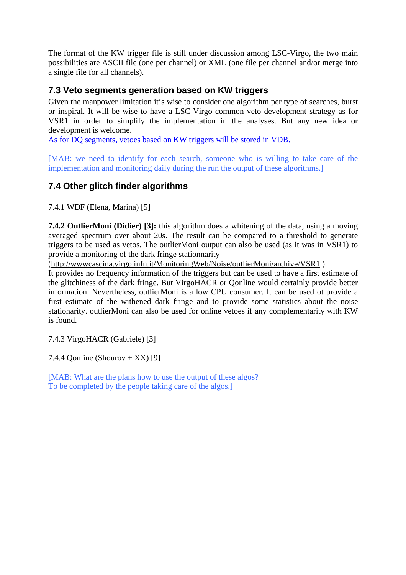The format of the KW trigger file is still under discussion among LSC-Virgo, the two main possibilities are ASCII file (one per channel) or XML (one file per channel and/or merge into a single file for all channels).

#### **7.3 Veto segments generation based on KW triggers**

Given the manpower limitation it's wise to consider one algorithm per type of searches, burst or inspiral. It will be wise to have a LSC-Virgo common veto development strategy as for VSR1 in order to simplify the implementation in the analyses. But any new idea or development is welcome.

As for DQ segments, vetoes based on KW triggers will be stored in VDB.

[MAB: we need to identify for each search, someone who is willing to take care of the implementation and monitoring daily during the run the output of these algorithms.]

#### **7.4 Other glitch finder algorithms**

7.4.1 WDF (Elena, Marina) [5]

**7.4.2 OutlierMoni (Didier) [3]:** this algorithm does a whitening of the data, using a moving averaged spectrum over about 20s. The result can be compared to a threshold to generate triggers to be used as vetos. The outlierMoni output can also be used (as it was in VSR1) to provide a monitoring of the dark fringe stationnarity

(<http://wwwcascina.virgo.infn.it/MonitoringWeb/Noise/outlierMoni/archive/VSR1> ).

It provides no frequency information of the triggers but can be used to have a first estimate of the glitchiness of the dark fringe. But VirgoHACR or Qonline would certainly provide better information. Nevertheless, outlierMoni is a low CPU consumer. It can be used ot provide a first estimate of the withened dark fringe and to provide some statistics about the noise stationarity. outlierMoni can also be used for online vetoes if any complementarity with KW is found.

7.4.3 VirgoHACR (Gabriele) [3]

7.4.4 Qonline (Shourov + XX) [9]

[MAB: What are the plans how to use the output of these algos? To be completed by the people taking care of the algos.]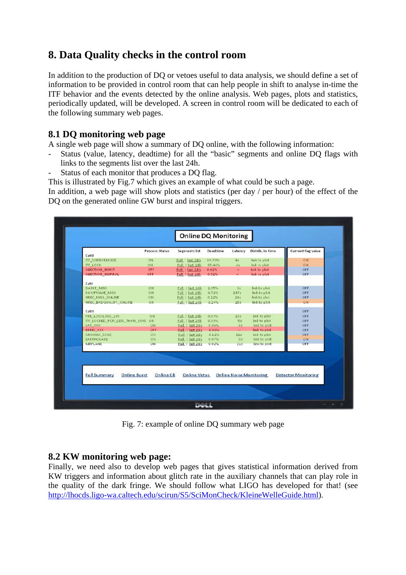## **8. Data Quality checks in the control room**

In addition to the production of DQ or vetoes useful to data analysis, we should define a set of information to be provided in control room that can help people in shift to analyse in-time the ITF behavior and the events detected by the online analysis. Web pages, plots and statistics, periodically updated, will be developed. A screen in control room will be dedicated to each of the following summary web pages.

#### **8.1 DQ monitoring web page**

A single web page will show a summary of DQ online, with the following information:

- Status (value, latency, deadtime) for all the "basic" segments and online DQ flags with links to the segments list over the last 24h.
- Status of each monitor that produces a DO flag.

This is illustrated by Fig.7 which gives an example of what could be such a page.

In addition, a web page will show plots and statistics (per day / per hour) of the effect of the DQ on the generated online GW burst and inspiral triggers.

|                                  | Process Status                   | Segments list       | Deadtime | Latency         | Distrib. in time               | Current flag value         |
|----------------------------------|----------------------------------|---------------------|----------|-----------------|--------------------------------|----------------------------|
| CatO                             |                                  |                     |          |                 |                                |                            |
| <b>ITF_SCIENCEMODE</b>           | ON                               | Full   last 24h     | 89.70%   | 4s              | link to plot                   | <b>ON</b>                  |
| <b>ITF LOCK</b>                  | ON                               | Full   last 24h     | 95.44%   | 45              | link to plot                   | <b>ON</b>                  |
| <b>INJECTION BURST</b>           | OFF                              | Full   last 24h     | 0.02%    | $\sim$          | link to plot                   | OFF                        |
| <b>INJECTION INSPIRAL</b>        | <b>OFF</b>                       | Full   last 24h     | 0.31%    |                 | link to plot                   | OFF                        |
| Catl                             |                                  |                     |          |                 |                                |                            |
| <b>DARKE MISS</b>                | ON                               | Full   last 24h     | 1.35%    | 55              | link to plot                   | OFF                        |
| RAWFRAME MISS                    | ON                               | Full   last 24h     | 0.71%    | 247s            | link to plot                   | OFF                        |
| HREC MISS ONLINE                 | ON                               | Full   last 24h     | 0.22%    | 24s             | link to plot                   | OFF                        |
| HREC BADQUALITY ONLINE           | ON                               | Full   last 24h     | 3.24%    | 25s             | link to plot                   | <b>ON</b>                  |
| CatII                            |                                  |                     |          |                 |                                | OFF                        |
| PRE LOCKLOSS 10S                 | ON                               | Full   last 24h     | 0.07%    | 18 <sub>5</sub> | link to plot                   | OFF                        |
| ITF LOCKED FOR LESS THAN 300S ON |                                  | Full   last 24h     | 0.33%    | 5s              | link to plot                   | OFF                        |
| SAT XXX                          | ON                               | Full   last 24h     | 0 0 6%   | 85              | link to plot                   | OFF                        |
| <b>BRMS XXX</b>                  | OFF.                             | Full   last 24h     | 0.08%    | $\sim$          | link to plot                   | OFF                        |
| GROUND 50HZ                      | ON                               | Full   last 24h     | 0.12%    | 11 <sup>c</sup> | link to plot                   | OFF                        |
| <b>EARTHOUAKE</b>                | ON                               | Full   last 24h     | 007%     | 95              | link to plot                   | <b>ON</b>                  |
| AIRPLANE                         | ON                               | Full last 24h       | 0.02%    | 21s             | link to plot                   | OFF                        |
|                                  |                                  |                     |          |                 |                                |                            |
|                                  |                                  |                     |          |                 |                                |                            |
|                                  |                                  |                     |          |                 |                                |                            |
| <b>Full Summary</b>              | <b>Online Burst</b><br>Online CB | <b>Online Vetos</b> |          |                 | <b>Online Noise Monitoring</b> | <b>Detector Monitoring</b> |

Fig. 7: example of online DQ summary web page

#### **8.2 KW monitoring web page:**

Finally, we need also to develop web pages that gives statistical information derived from KW triggers and information about glitch rate in the auxiliary channels that can play role in the quality of the dark fringe. We should follow what LIGO has developed for that! (see [http://lhocds.ligo-wa.caltech.edu/scirun/S5/SciMonCheck/KleineWelleGuide.html\)](http://lhocds.ligo-wa.caltech.edu/scirun/S5/SciMonCheck/KleineWelleGuide.html).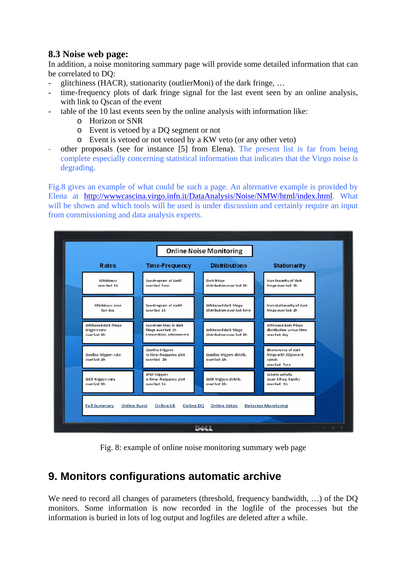### **8.3 Noise web page:**

In addition, a noise monitoring summary page will provide some detailed information that can be correlated to DQ:

- glitchiness (HACR), stationarity (outlierMoni) of the dark fringe, ...
- time-frequency plots of dark fringe signal for the last event seen by an online analysis, with link to Qscan of the event
- table of the 10 last events seen by the online analysis with information like:
	- o Horizon or SNR
	- o Event is vetoed by a DQ segment or not
	- o Event is vetoed or not vetoed by a KW veto (or any other veto)
- other proposals (see for instance [5] from Elena). The present list is far from being complete especially concerning statistical information that indicates that the Virgo noise is degrading.

Fig.8 gives an example of what could be such a page. An alternative example is provided by Elena at <http://wwwcascina.virgo.infn.it/DataAnalysis/Noise/NMW/html/index.html>. What will be shown and which tools will be used is under discussion and certainly require an input from commissioning and data analysis experts.



Fig. 8: example of online noise monitoring summary web page

## **9. Monitors configurations automatic archive**

We need to record all changes of parameters (threshold, frequency bandwidth, ...) of the DO monitors. Some information is now recorded in the logfile of the processes but the information is buried in lots of log output and logfiles are deleted after a while.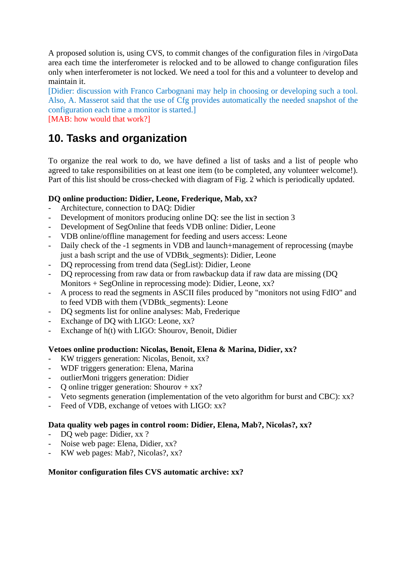A proposed solution is, using CVS, to commit changes of the configuration files in /virgoData area each time the interferometer is relocked and to be allowed to change configuration files only when interferometer is not locked. We need a tool for this and a volunteer to develop and maintain it.

[Didier: discussion with Franco Carbognani may help in choosing or developing such a tool. Also, A. Masserot said that the use of Cfg provides automatically the needed snapshot of the configuration each time a monitor is started.] [MAB: how would that work?]

# **10. Tasks and organization**

To organize the real work to do, we have defined a list of tasks and a list of people who agreed to take responsibilities on at least one item (to be completed, any volunteer welcome!). Part of this list should be cross-checked with diagram of Fig. 2 which is periodically updated.

#### **DQ online production: Didier, Leone, Frederique, Mab, xx?**

- Architecture, connection to DAQ: Didier
- Development of monitors producing online DQ: see the list in section 3
- Development of SegOnline that feeds VDB online: Didier, Leone
- VDB online/offline management for feeding and users access: Leone
- Daily check of the -1 segments in VDB and launch+management of reprocessing (maybe just a bash script and the use of VDBtk\_segments): Didier, Leone
- DQ reprocessing from trend data (SegList): Didier, Leone
- DQ reprocessing from raw data or from rawbackup data if raw data are missing (DQ Monitors + SegOnline in reprocessing mode): Didier, Leone, xx?
- A process to read the segments in ASCII files produced by "monitors not using FdIO" and to feed VDB with them (VDBtk\_segments): Leone
- DQ segments list for online analyses: Mab, Frederique
- Exchange of DQ with LIGO: Leone, xx?
- Exchange of h(t) with LIGO: Shourov, Benoit, Didier

#### **Vetoes online production: Nicolas, Benoit, Elena & Marina, Didier, xx?**

- KW triggers generation: Nicolas, Benoit, xx?
- WDF triggers generation: Elena, Marina
- outlierMoni triggers generation: Didier
- O online trigger generation: Shourov +  $xx$ ?
- Veto segments generation (implementation of the veto algorithm for burst and CBC): xx?
- Feed of VDB, exchange of vetoes with LIGO: xx?

#### **Data quality web pages in control room: Didier, Elena, Mab?, Nicolas?, xx?**

- DQ web page: Didier, xx ?
- Noise web page: Elena, Didier, xx?
- KW web pages: Mab?, Nicolas?, xx?

#### **Monitor configuration files CVS automatic archive: xx?**